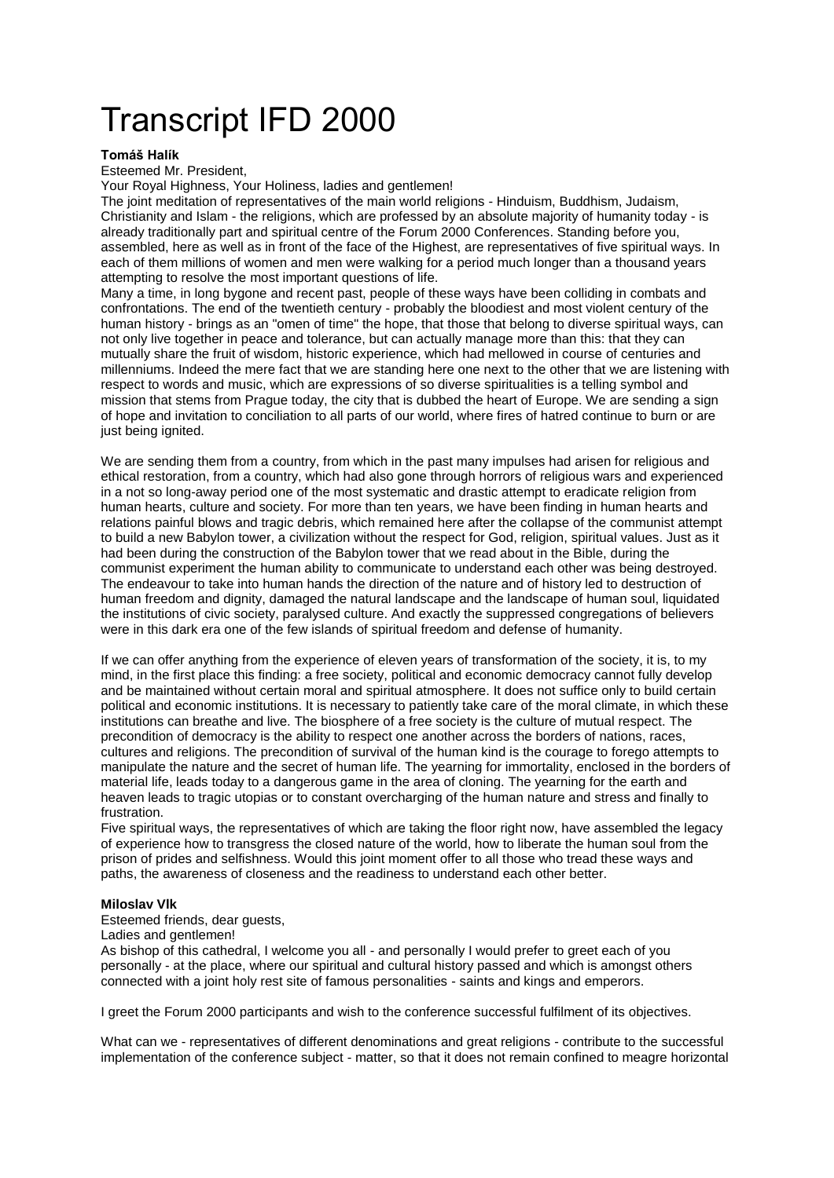# Transcript IFD 2000

# **Tomáš Halík**

Esteemed Mr. President,

Your Royal Highness, Your Holiness, ladies and gentlemen!

The joint meditation of representatives of the main world religions - Hinduism, Buddhism, Judaism, Christianity and Islam - the religions, which are professed by an absolute majority of humanity today - is already traditionally part and spiritual centre of the Forum 2000 Conferences. Standing before you, assembled, here as well as in front of the face of the Highest, are representatives of five spiritual ways. In each of them millions of women and men were walking for a period much longer than a thousand years attempting to resolve the most important questions of life.

Many a time, in long bygone and recent past, people of these ways have been colliding in combats and confrontations. The end of the twentieth century - probably the bloodiest and most violent century of the human history - brings as an "omen of time" the hope, that those that belong to diverse spiritual ways, can not only live together in peace and tolerance, but can actually manage more than this: that they can mutually share the fruit of wisdom, historic experience, which had mellowed in course of centuries and millenniums. Indeed the mere fact that we are standing here one next to the other that we are listening with respect to words and music, which are expressions of so diverse spiritualities is a telling symbol and mission that stems from Prague today, the city that is dubbed the heart of Europe. We are sending a sign of hope and invitation to conciliation to all parts of our world, where fires of hatred continue to burn or are just being ignited.

We are sending them from a country, from which in the past many impulses had arisen for religious and ethical restoration, from a country, which had also gone through horrors of religious wars and experienced in a not so long-away period one of the most systematic and drastic attempt to eradicate religion from human hearts, culture and society. For more than ten years, we have been finding in human hearts and relations painful blows and tragic debris, which remained here after the collapse of the communist attempt to build a new Babylon tower, a civilization without the respect for God, religion, spiritual values. Just as it had been during the construction of the Babylon tower that we read about in the Bible, during the communist experiment the human ability to communicate to understand each other was being destroyed. The endeavour to take into human hands the direction of the nature and of history led to destruction of human freedom and dignity, damaged the natural landscape and the landscape of human soul, liquidated the institutions of civic society, paralysed culture. And exactly the suppressed congregations of believers were in this dark era one of the few islands of spiritual freedom and defense of humanity.

If we can offer anything from the experience of eleven years of transformation of the society, it is, to my mind, in the first place this finding: a free society, political and economic democracy cannot fully develop and be maintained without certain moral and spiritual atmosphere. It does not suffice only to build certain political and economic institutions. It is necessary to patiently take care of the moral climate, in which these institutions can breathe and live. The biosphere of a free society is the culture of mutual respect. The precondition of democracy is the ability to respect one another across the borders of nations, races, cultures and religions. The precondition of survival of the human kind is the courage to forego attempts to manipulate the nature and the secret of human life. The yearning for immortality, enclosed in the borders of material life, leads today to a dangerous game in the area of cloning. The yearning for the earth and heaven leads to tragic utopias or to constant overcharging of the human nature and stress and finally to frustration.

Five spiritual ways, the representatives of which are taking the floor right now, have assembled the legacy of experience how to transgress the closed nature of the world, how to liberate the human soul from the prison of prides and selfishness. Would this joint moment offer to all those who tread these ways and paths, the awareness of closeness and the readiness to understand each other better.

# **Miloslav Vlk**

Esteemed friends, dear guests,

#### Ladies and gentlemen!

As bishop of this cathedral, I welcome you all - and personally I would prefer to greet each of you personally - at the place, where our spiritual and cultural history passed and which is amongst others connected with a joint holy rest site of famous personalities - saints and kings and emperors.

I greet the Forum 2000 participants and wish to the conference successful fulfilment of its objectives.

What can we - representatives of different denominations and great religions - contribute to the successful implementation of the conference subject - matter, so that it does not remain confined to meagre horizontal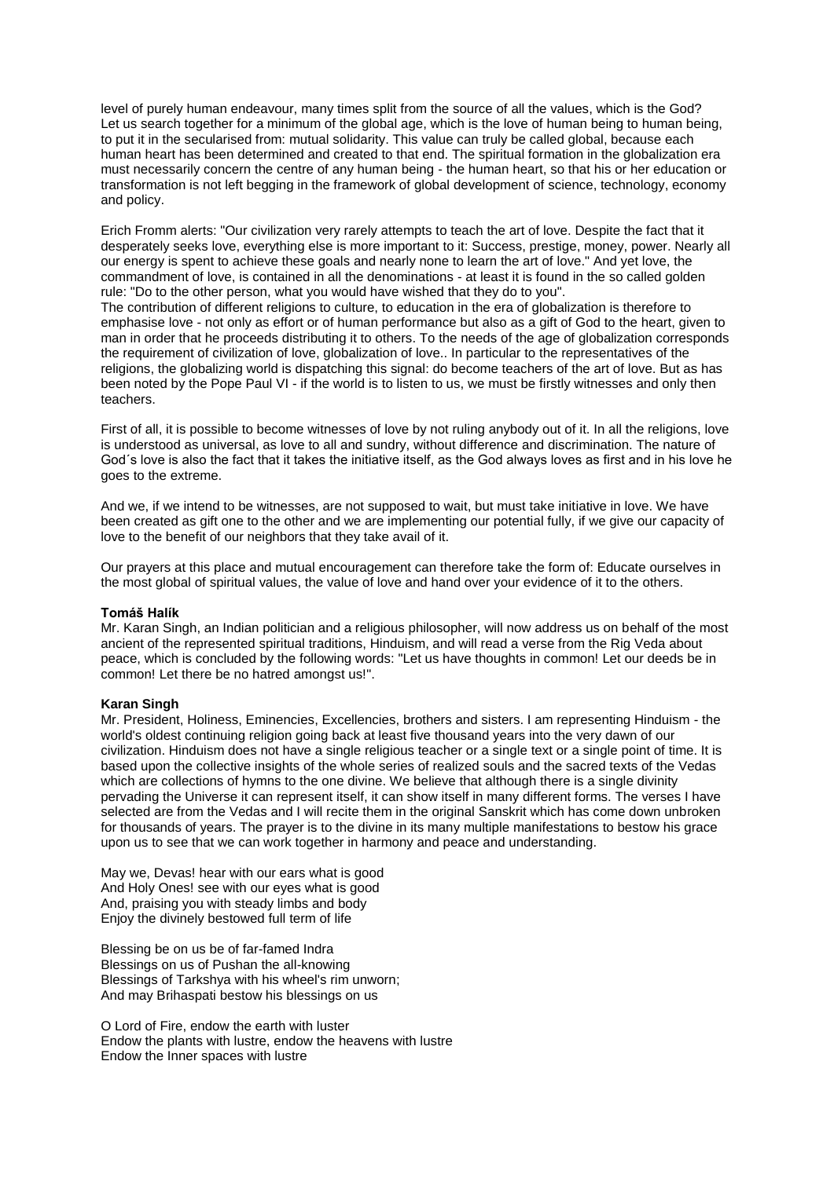level of purely human endeavour, many times split from the source of all the values, which is the God? Let us search together for a minimum of the global age, which is the love of human being to human being, to put it in the secularised from: mutual solidarity. This value can truly be called global, because each human heart has been determined and created to that end. The spiritual formation in the globalization era must necessarily concern the centre of any human being - the human heart, so that his or her education or transformation is not left begging in the framework of global development of science, technology, economy and policy.

Erich Fromm alerts: "Our civilization very rarely attempts to teach the art of love. Despite the fact that it desperately seeks love, everything else is more important to it: Success, prestige, money, power. Nearly all our energy is spent to achieve these goals and nearly none to learn the art of love." And yet love, the commandment of love, is contained in all the denominations - at least it is found in the so called golden rule: "Do to the other person, what you would have wished that they do to you".

The contribution of different religions to culture, to education in the era of globalization is therefore to emphasise love - not only as effort or of human performance but also as a gift of God to the heart, given to man in order that he proceeds distributing it to others. To the needs of the age of globalization corresponds the requirement of civilization of love, globalization of love.. In particular to the representatives of the religions, the globalizing world is dispatching this signal: do become teachers of the art of love. But as has been noted by the Pope Paul VI - if the world is to listen to us, we must be firstly witnesses and only then teachers.

First of all, it is possible to become witnesses of love by not ruling anybody out of it. In all the religions, love is understood as universal, as love to all and sundry, without difference and discrimination. The nature of God´s love is also the fact that it takes the initiative itself, as the God always loves as first and in his love he goes to the extreme.

And we, if we intend to be witnesses, are not supposed to wait, but must take initiative in love. We have been created as gift one to the other and we are implementing our potential fully, if we give our capacity of love to the benefit of our neighbors that they take avail of it.

Our prayers at this place and mutual encouragement can therefore take the form of: Educate ourselves in the most global of spiritual values, the value of love and hand over your evidence of it to the others.

# **Tomáš Halík**

Mr. Karan Singh, an Indian politician and a religious philosopher, will now address us on behalf of the most ancient of the represented spiritual traditions, Hinduism, and will read a verse from the Rig Veda about peace, which is concluded by the following words: "Let us have thoughts in common! Let our deeds be in common! Let there be no hatred amongst us!".

# **Karan Singh**

Mr. President, Holiness, Eminencies, Excellencies, brothers and sisters. I am representing Hinduism - the world's oldest continuing religion going back at least five thousand years into the very dawn of our civilization. Hinduism does not have a single religious teacher or a single text or a single point of time. It is based upon the collective insights of the whole series of realized souls and the sacred texts of the Vedas which are collections of hymns to the one divine. We believe that although there is a single divinity pervading the Universe it can represent itself, it can show itself in many different forms. The verses I have selected are from the Vedas and I will recite them in the original Sanskrit which has come down unbroken for thousands of years. The prayer is to the divine in its many multiple manifestations to bestow his grace upon us to see that we can work together in harmony and peace and understanding.

May we, Devas! hear with our ears what is good And Holy Ones! see with our eyes what is good And, praising you with steady limbs and body Enjoy the divinely bestowed full term of life

Blessing be on us be of far-famed Indra Blessings on us of Pushan the all-knowing Blessings of Tarkshya with his wheel's rim unworn; And may Brihaspati bestow his blessings on us

O Lord of Fire, endow the earth with luster Endow the plants with lustre, endow the heavens with lustre Endow the Inner spaces with lustre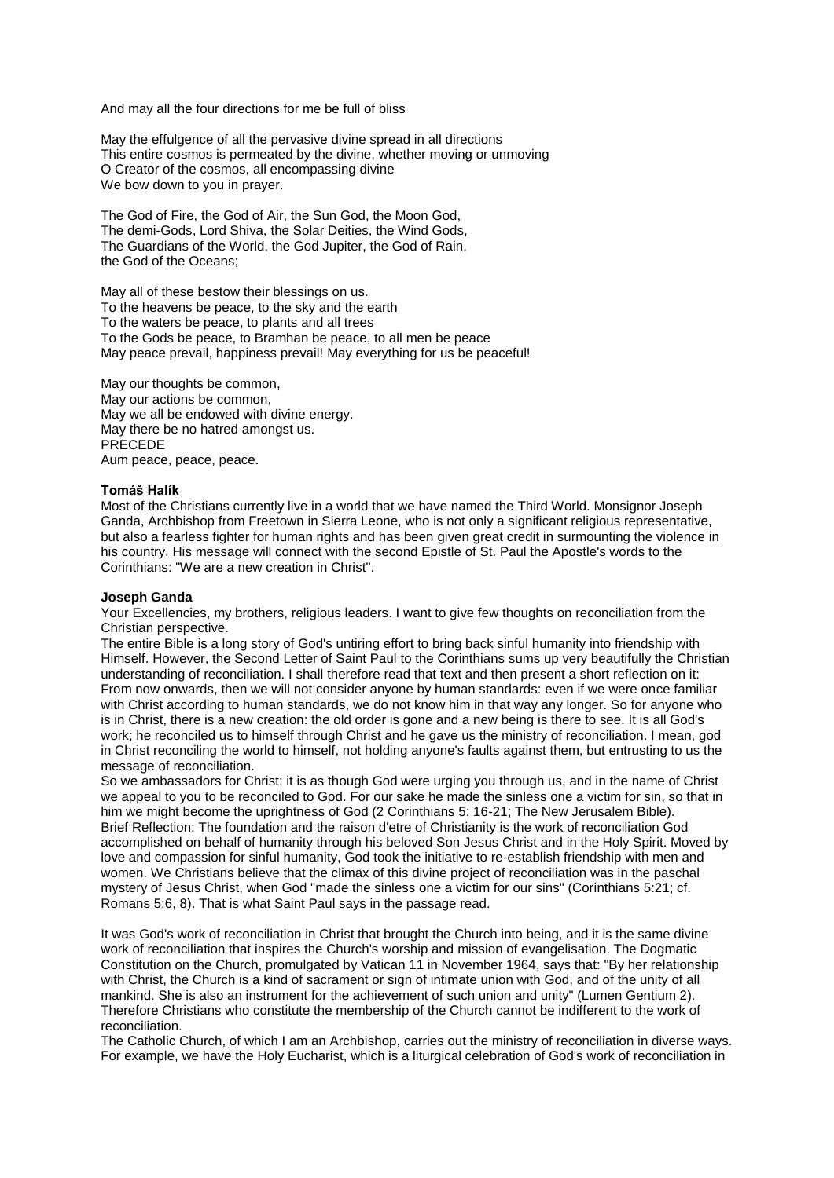And may all the four directions for me be full of bliss

May the effulgence of all the pervasive divine spread in all directions This entire cosmos is permeated by the divine, whether moving or unmoving O Creator of the cosmos, all encompassing divine We bow down to you in prayer.

The God of Fire, the God of Air, the Sun God, the Moon God, The demi-Gods, Lord Shiva, the Solar Deities, the Wind Gods, The Guardians of the World, the God Jupiter, the God of Rain, the God of the Oceans;

May all of these bestow their blessings on us. To the heavens be peace, to the sky and the earth To the waters be peace, to plants and all trees To the Gods be peace, to Bramhan be peace, to all men be peace May peace prevail, happiness prevail! May everything for us be peaceful!

May our thoughts be common, May our actions be common, May we all be endowed with divine energy. May there be no hatred amongst us. PRECEDE Aum peace, peace, peace.

#### **Tomáš Halík**

Most of the Christians currently live in a world that we have named the Third World. Monsignor Joseph Ganda, Archbishop from Freetown in Sierra Leone, who is not only a significant religious representative, but also a fearless fighter for human rights and has been given great credit in surmounting the violence in his country. His message will connect with the second Epistle of St. Paul the Apostle's words to the Corinthians: "We are a new creation in Christ".

# **Joseph Ganda**

Your Excellencies, my brothers, religious leaders. I want to give few thoughts on reconciliation from the Christian perspective.

The entire Bible is a long story of God's untiring effort to bring back sinful humanity into friendship with Himself. However, the Second Letter of Saint Paul to the Corinthians sums up very beautifully the Christian understanding of reconciliation. I shall therefore read that text and then present a short reflection on it: From now onwards, then we will not consider anyone by human standards: even if we were once familiar with Christ according to human standards, we do not know him in that way any longer. So for anyone who is in Christ, there is a new creation: the old order is gone and a new being is there to see. It is all God's work; he reconciled us to himself through Christ and he gave us the ministry of reconciliation. I mean, god in Christ reconciling the world to himself, not holding anyone's faults against them, but entrusting to us the message of reconciliation.

So we ambassadors for Christ; it is as though God were urging you through us, and in the name of Christ we appeal to you to be reconciled to God. For our sake he made the sinless one a victim for sin, so that in him we might become the uprightness of God (2 Corinthians 5: 16-21; The New Jerusalem Bible). Brief Reflection: The foundation and the raison d'etre of Christianity is the work of reconciliation God accomplished on behalf of humanity through his beloved Son Jesus Christ and in the Holy Spirit. Moved by love and compassion for sinful humanity, God took the initiative to re-establish friendship with men and women. We Christians believe that the climax of this divine project of reconciliation was in the paschal mystery of Jesus Christ, when God "made the sinless one a victim for our sins" (Corinthians 5:21; cf. Romans 5:6, 8). That is what Saint Paul says in the passage read.

It was God's work of reconciliation in Christ that brought the Church into being, and it is the same divine work of reconciliation that inspires the Church's worship and mission of evangelisation. The Dogmatic Constitution on the Church, promulgated by Vatican 11 in November 1964, says that: "By her relationship with Christ, the Church is a kind of sacrament or sign of intimate union with God, and of the unity of all mankind. She is also an instrument for the achievement of such union and unity" (Lumen Gentium 2). Therefore Christians who constitute the membership of the Church cannot be indifferent to the work of reconciliation.

The Catholic Church, of which I am an Archbishop, carries out the ministry of reconciliation in diverse ways. For example, we have the Holy Eucharist, which is a liturgical celebration of God's work of reconciliation in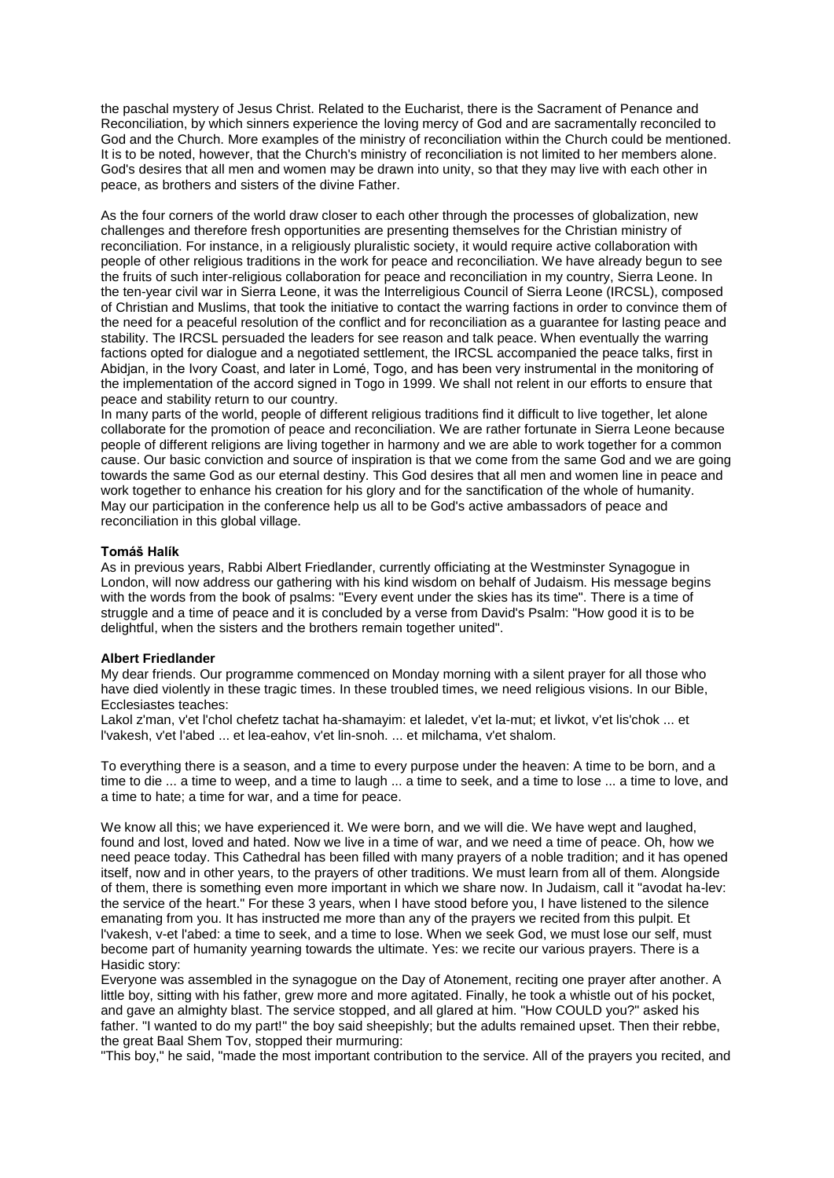the paschal mystery of Jesus Christ. Related to the Eucharist, there is the Sacrament of Penance and Reconciliation, by which sinners experience the loving mercy of God and are sacramentally reconciled to God and the Church. More examples of the ministry of reconciliation within the Church could be mentioned. It is to be noted, however, that the Church's ministry of reconciliation is not limited to her members alone. God's desires that all men and women may be drawn into unity, so that they may live with each other in peace, as brothers and sisters of the divine Father.

As the four corners of the world draw closer to each other through the processes of globalization, new challenges and therefore fresh opportunities are presenting themselves for the Christian ministry of reconciliation. For instance, in a religiously pluralistic society, it would require active collaboration with people of other religious traditions in the work for peace and reconciliation. We have already begun to see the fruits of such inter-religious collaboration for peace and reconciliation in my country, Sierra Leone. In the ten-year civil war in Sierra Leone, it was the Interreligious Council of Sierra Leone (IRCSL), composed of Christian and Muslims, that took the initiative to contact the warring factions in order to convince them of the need for a peaceful resolution of the conflict and for reconciliation as a guarantee for lasting peace and stability. The IRCSL persuaded the leaders for see reason and talk peace. When eventually the warring factions opted for dialogue and a negotiated settlement, the IRCSL accompanied the peace talks, first in Abidjan, in the Ivory Coast, and later in Lomé, Togo, and has been very instrumental in the monitoring of the implementation of the accord signed in Togo in 1999. We shall not relent in our efforts to ensure that peace and stability return to our country.

In many parts of the world, people of different religious traditions find it difficult to live together, let alone collaborate for the promotion of peace and reconciliation. We are rather fortunate in Sierra Leone because people of different religions are living together in harmony and we are able to work together for a common cause. Our basic conviction and source of inspiration is that we come from the same God and we are going towards the same God as our eternal destiny. This God desires that all men and women line in peace and work together to enhance his creation for his glory and for the sanctification of the whole of humanity. May our participation in the conference help us all to be God's active ambassadors of peace and reconciliation in this global village.

# **Tomáš Halík**

As in previous years, Rabbi Albert Friedlander, currently officiating at the Westminster Synagogue in London, will now address our gathering with his kind wisdom on behalf of Judaism. His message begins with the words from the book of psalms: "Every event under the skies has its time". There is a time of struggle and a time of peace and it is concluded by a verse from David's Psalm: "How good it is to be delightful, when the sisters and the brothers remain together united".

# **Albert Friedlander**

My dear friends. Our programme commenced on Monday morning with a silent prayer for all those who have died violently in these tragic times. In these troubled times, we need religious visions. In our Bible, Ecclesiastes teaches:

Lakol z'man, v'et l'chol chefetz tachat ha-shamayim: et laledet, v'et la-mut; et livkot, v'et lis'chok ... et l'vakesh, v'et l'abed ... et lea-eahov, v'et lin-snoh. ... et milchama, v'et shalom.

To everything there is a season, and a time to every purpose under the heaven: A time to be born, and a time to die ... a time to weep, and a time to laugh ... a time to seek, and a time to lose ... a time to love, and a time to hate; a time for war, and a time for peace.

We know all this; we have experienced it. We were born, and we will die. We have wept and laughed, found and lost, loved and hated. Now we live in a time of war, and we need a time of peace. Oh, how we need peace today. This Cathedral has been filled with many prayers of a noble tradition; and it has opened itself, now and in other years, to the prayers of other traditions. We must learn from all of them. Alongside of them, there is something even more important in which we share now. In Judaism, call it "avodat ha-lev: the service of the heart." For these 3 years, when I have stood before you, I have listened to the silence emanating from you. It has instructed me more than any of the prayers we recited from this pulpit. Et l'vakesh, v-et l'abed: a time to seek, and a time to lose. When we seek God, we must lose our self, must become part of humanity yearning towards the ultimate. Yes: we recite our various prayers. There is a Hasidic story:

Everyone was assembled in the synagogue on the Day of Atonement, reciting one prayer after another. A little boy, sitting with his father, grew more and more agitated. Finally, he took a whistle out of his pocket, and gave an almighty blast. The service stopped, and all glared at him. "How COULD you?" asked his father. "I wanted to do my part!" the boy said sheepishly: but the adults remained upset. Then their rebbe, the great Baal Shem Tov, stopped their murmuring:

"This boy," he said, "made the most important contribution to the service. All of the prayers you recited, and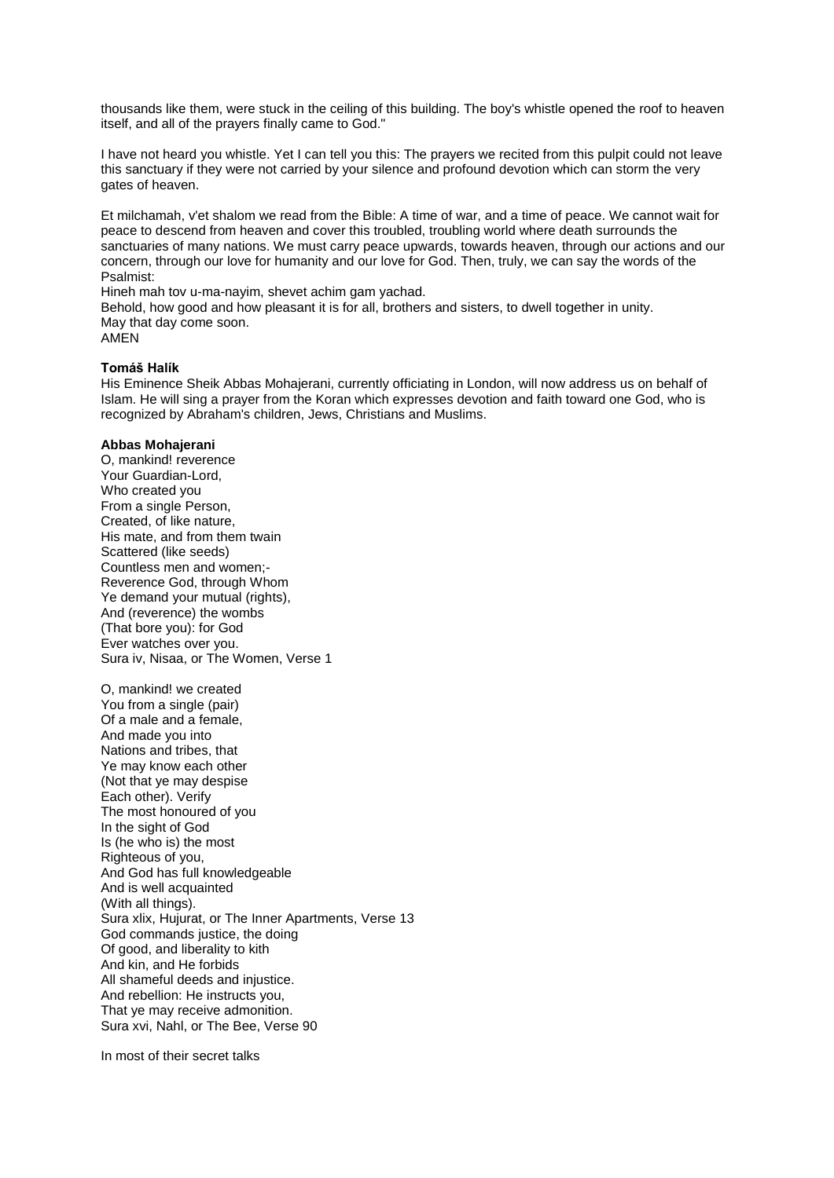thousands like them, were stuck in the ceiling of this building. The boy's whistle opened the roof to heaven itself, and all of the prayers finally came to God."

I have not heard you whistle. Yet I can tell you this: The prayers we recited from this pulpit could not leave this sanctuary if they were not carried by your silence and profound devotion which can storm the very gates of heaven.

Et milchamah, v'et shalom we read from the Bible: A time of war, and a time of peace. We cannot wait for peace to descend from heaven and cover this troubled, troubling world where death surrounds the sanctuaries of many nations. We must carry peace upwards, towards heaven, through our actions and our concern, through our love for humanity and our love for God. Then, truly, we can say the words of the Psalmist:

Hineh mah tov u-ma-nayim, shevet achim gam yachad.

Behold, how good and how pleasant it is for all, brothers and sisters, to dwell together in unity. May that day come soon.

AMEN

#### **Tomáš Halík**

His Eminence Sheik Abbas Mohajerani, currently officiating in London, will now address us on behalf of Islam. He will sing a prayer from the Koran which expresses devotion and faith toward one God, who is recognized by Abraham's children, Jews, Christians and Muslims.

#### **Abbas Mohajerani**

O, mankind! reverence Your Guardian-Lord, Who created you From a single Person, Created, of like nature, His mate, and from them twain Scattered (like seeds) Countless men and women;- Reverence God, through Whom Ye demand your mutual (rights), And (reverence) the wombs (That bore you): for God Ever watches over you. Sura iv, Nisaa, or The Women, Verse 1

O, mankind! we created You from a single (pair) Of a male and a female, And made you into Nations and tribes, that Ye may know each other (Not that ye may despise Each other). Verify The most honoured of you In the sight of God Is (he who is) the most Righteous of you, And God has full knowledgeable And is well acquainted (With all things). Sura xlix, Hujurat, or The Inner Apartments, Verse 13 God commands justice, the doing Of good, and liberality to kith And kin, and He forbids All shameful deeds and injustice. And rebellion: He instructs you, That ye may receive admonition. Sura xvi, Nahl, or The Bee, Verse 90

In most of their secret talks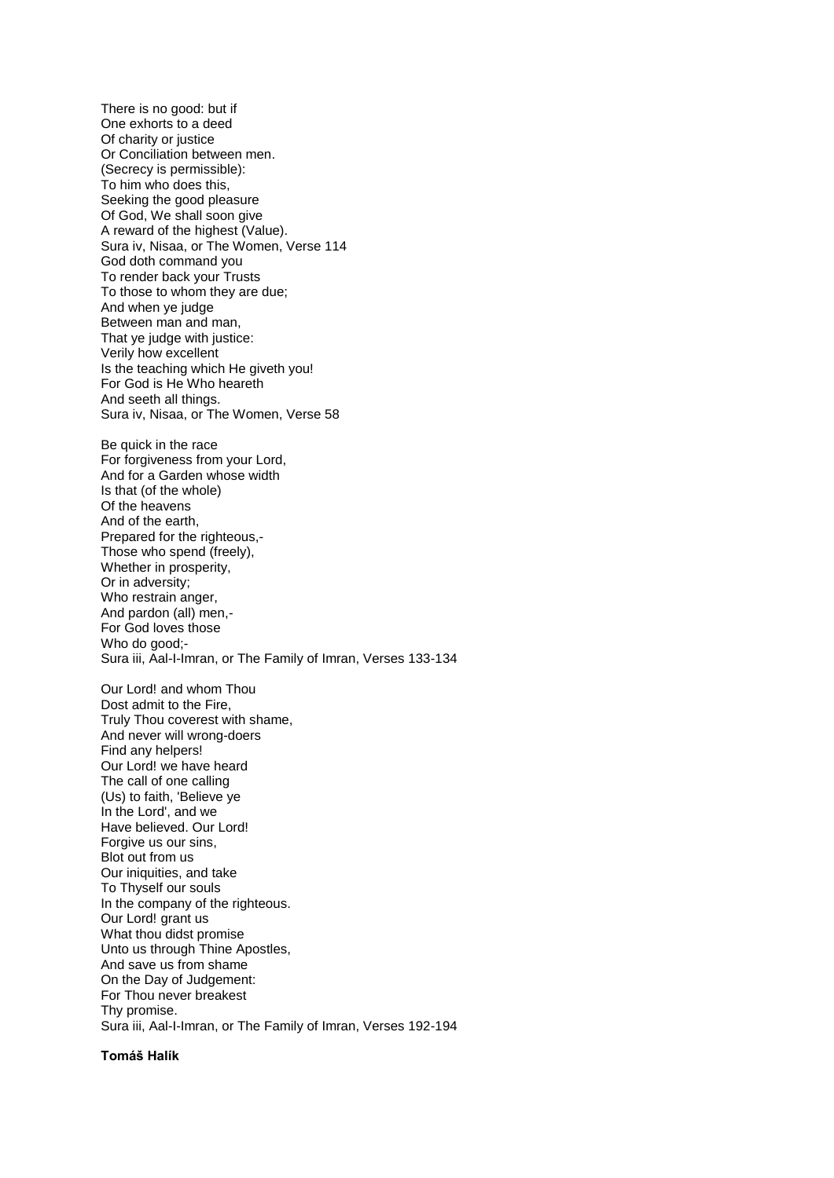There is no good: but if One exhorts to a deed Of charity or justice Or Conciliation between men. (Secrecy is permissible): To him who does this, Seeking the good pleasure Of God, We shall soon give A reward of the highest (Value). Sura iv, Nisaa, or The Women, Verse 114 God doth command you To render back your Trusts To those to whom they are due; And when ye judge Between man and man, That ye judge with justice: Verily how excellent Is the teaching which He giveth you! For God is He Who heareth And seeth all things. Sura iv, Nisaa, or The Women, Verse 58 Be quick in the race For forgiveness from your Lord, And for a Garden whose width Is that (of the whole) Of the heavens And of the earth, Prepared for the righteous,- Those who spend (freely), Whether in prosperity, Or in adversity; Who restrain anger, And pardon (all) men,- For God loves those Who do good;-Sura iii, Aal-I-Imran, or The Family of Imran, Verses 133-134 Our Lord! and whom Thou Dost admit to the Fire, Truly Thou coverest with shame, And never will wrong-doers Find any helpers! Our Lord! we have heard

The call of one calling (Us) to faith, 'Believe ye In the Lord', and we Have believed. Our Lord! Forgive us our sins, Blot out from us Our iniquities, and take To Thyself our souls In the company of the righteous. Our Lord! grant us What thou didst promise Unto us through Thine Apostles, And save us from shame On the Day of Judgement: For Thou never breakest Thy promise. Sura iii, Aal-I-Imran, or The Family of Imran, Verses 192-194

# **Tomáš Halík**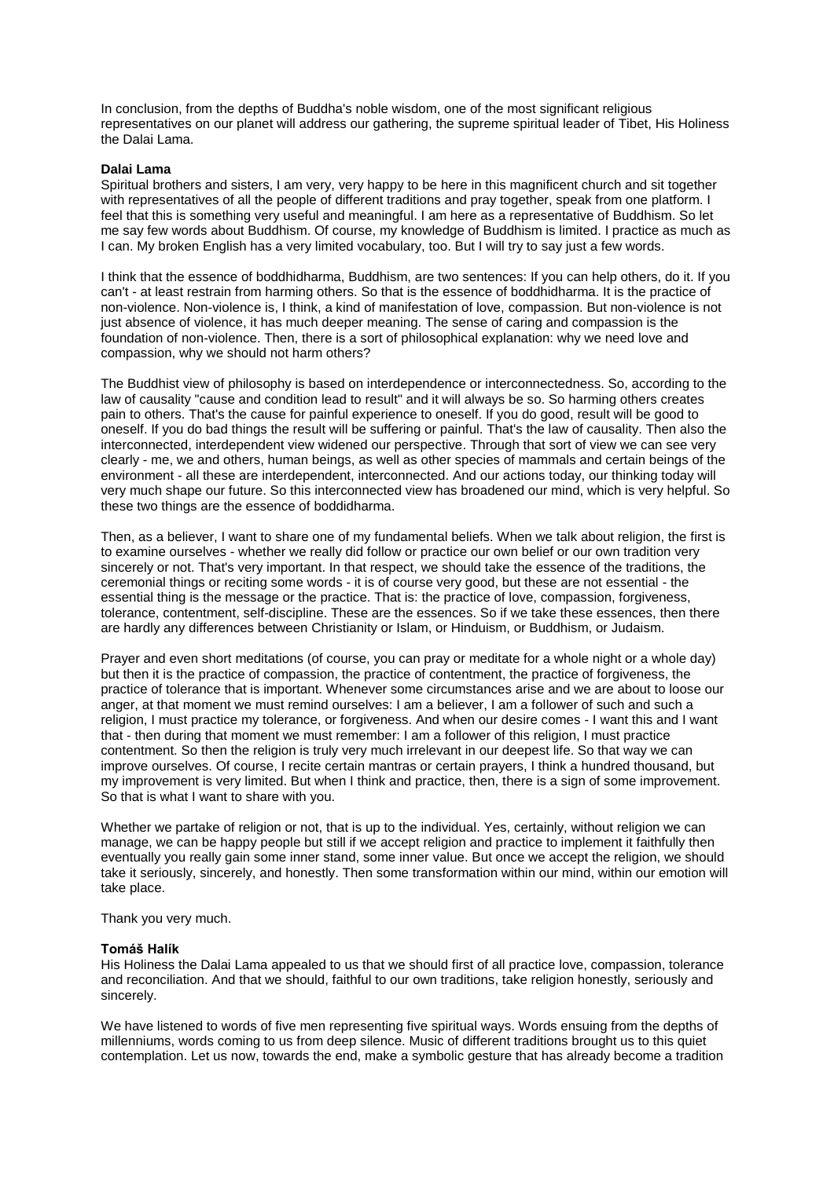In conclusion, from the depths of Buddha's noble wisdom, one of the most significant religious representatives on our planet will address our gathering, the supreme spiritual leader of Tibet, His Holiness the Dalai Lama.

# **Dalai Lama**

Spiritual brothers and sisters, I am very, very happy to be here in this magnificent church and sit together with representatives of all the people of different traditions and pray together, speak from one platform. I feel that this is something very useful and meaningful. I am here as a representative of Buddhism. So let me say few words about Buddhism. Of course, my knowledge of Buddhism is limited. I practice as much as I can. My broken English has a very limited vocabulary, too. But I will try to say just a few words.

I think that the essence of boddhidharma, Buddhism, are two sentences: If you can help others, do it. If you can't - at least restrain from harming others. So that is the essence of boddhidharma. It is the practice of non-violence. Non-violence is, I think, a kind of manifestation of love, compassion. But non-violence is not just absence of violence, it has much deeper meaning. The sense of caring and compassion is the foundation of non-violence. Then, there is a sort of philosophical explanation: why we need love and compassion, why we should not harm others?

The Buddhist view of philosophy is based on interdependence or interconnectedness. So, according to the law of causality "cause and condition lead to result" and it will always be so. So harming others creates pain to others. That's the cause for painful experience to oneself. If you do good, result will be good to oneself. If you do bad things the result will be suffering or painful. That's the law of causality. Then also the interconnected, interdependent view widened our perspective. Through that sort of view we can see very clearly - me, we and others, human beings, as well as other species of mammals and certain beings of the environment - all these are interdependent, interconnected. And our actions today, our thinking today will very much shape our future. So this interconnected view has broadened our mind, which is very helpful. So these two things are the essence of boddidharma.

Then, as a believer, I want to share one of my fundamental beliefs. When we talk about religion, the first is to examine ourselves - whether we really did follow or practice our own belief or our own tradition very sincerely or not. That's very important. In that respect, we should take the essence of the traditions, the ceremonial things or reciting some words - it is of course very good, but these are not essential - the essential thing is the message or the practice. That is: the practice of love, compassion, forgiveness, tolerance, contentment, self-discipline. These are the essences. So if we take these essences, then there are hardly any differences between Christianity or Islam, or Hinduism, or Buddhism, or Judaism.

Prayer and even short meditations (of course, you can pray or meditate for a whole night or a whole day) but then it is the practice of compassion, the practice of contentment, the practice of forgiveness, the practice of tolerance that is important. Whenever some circumstances arise and we are about to loose our anger, at that moment we must remind ourselves: I am a believer, I am a follower of such and such a religion, I must practice my tolerance, or forgiveness. And when our desire comes - I want this and I want that - then during that moment we must remember: I am a follower of this religion, I must practice contentment. So then the religion is truly very much irrelevant in our deepest life. So that way we can improve ourselves. Of course, I recite certain mantras or certain prayers, I think a hundred thousand, but my improvement is very limited. But when I think and practice, then, there is a sign of some improvement. So that is what I want to share with you.

Whether we partake of religion or not, that is up to the individual. Yes, certainly, without religion we can manage, we can be happy people but still if we accept religion and practice to implement it faithfully then eventually you really gain some inner stand, some inner value. But once we accept the religion, we should take it seriously, sincerely, and honestly. Then some transformation within our mind, within our emotion will take place.

# Thank you very much.

# **Tomáš Halík**

His Holiness the Dalai Lama appealed to us that we should first of all practice love, compassion, tolerance and reconciliation. And that we should, faithful to our own traditions, take religion honestly, seriously and sincerely.

We have listened to words of five men representing five spiritual ways. Words ensuing from the depths of millenniums, words coming to us from deep silence. Music of different traditions brought us to this quiet contemplation. Let us now, towards the end, make a symbolic gesture that has already become a tradition